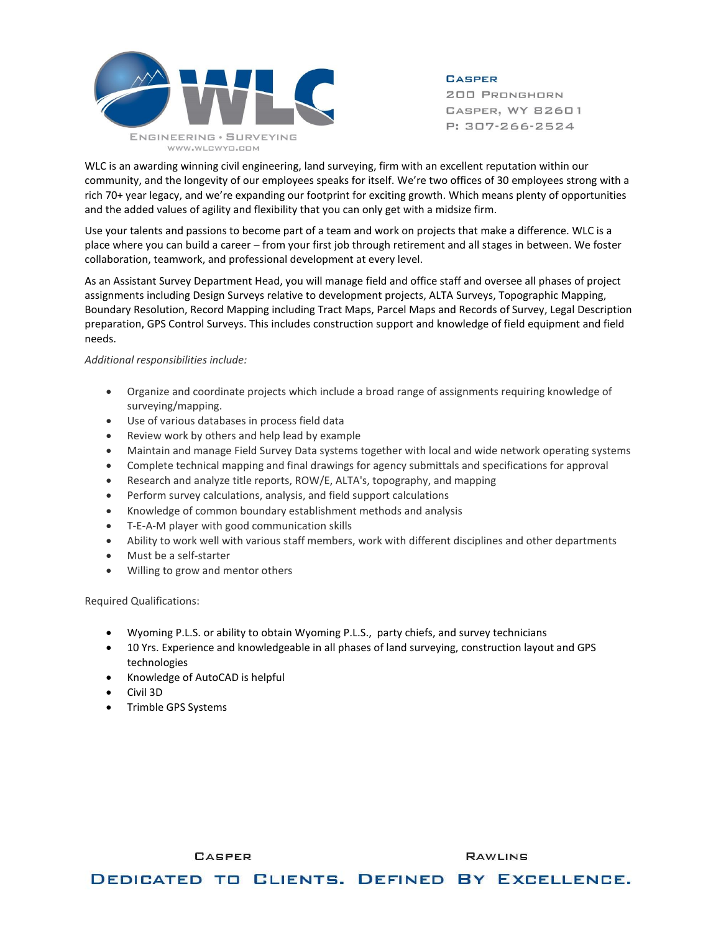

**CASPER** 

**200 PRONGHORN** CASPER, WY 82601 P: 307-266-2524

WLC is an awarding winning civil engineering, land surveying, firm with an excellent reputation within our community, and the longevity of our employees speaks for itself. We're two offices of 30 employees strong with a rich 70+ year legacy, and we're expanding our footprint for exciting growth. Which means plenty of opportunities and the added values of agility and flexibility that you can only get with a midsize firm.

Use your talents and passions to become part of a team and work on projects that make a difference. WLC is a place where you can build a career – from your first job through retirement and all stages in between. We foster collaboration, teamwork, and professional development at every level.

As an Assistant Survey Department Head, you will manage field and office staff and oversee all phases of project assignments including Design Surveys relative to development projects, ALTA Surveys, Topographic Mapping, Boundary Resolution, Record Mapping including Tract Maps, Parcel Maps and Records of Survey, Legal Description preparation, GPS Control Surveys. This includes construction support and knowledge of field equipment and field needs.

*Additional responsibilities include:*

- Organize and coordinate projects which include a broad range of assignments requiring knowledge of surveying/mapping.
- Use of various databases in process field data
- Review work by others and help lead by example
- Maintain and manage Field Survey Data systems together with local and wide network operating systems
- Complete technical mapping and final drawings for agency submittals and specifications for approval
- Research and analyze title reports, ROW/E, ALTA's, topography, and mapping
- Perform survey calculations, analysis, and field support calculations
- Knowledge of common boundary establishment methods and analysis
- T-E-A-M player with good communication skills
- Ability to work well with various staff members, work with different disciplines and other departments
- Must be a self-starter
- Willing to grow and mentor others

Required Qualifications:

- Wyoming P.L.S. or ability to obtain Wyoming P.L.S., party chiefs, and survey technicians
- 10 Yrs. Experience and knowledgeable in all phases of land surveying, construction layout and GPS technologies
- Knowledge of AutoCAD is helpful

**CASPER** 

- Civil 3D
- Trimble GPS Systems

DEDICATED TO CLIENTS. DEFINED BY EXCELLENCE.

**RAWLINS**